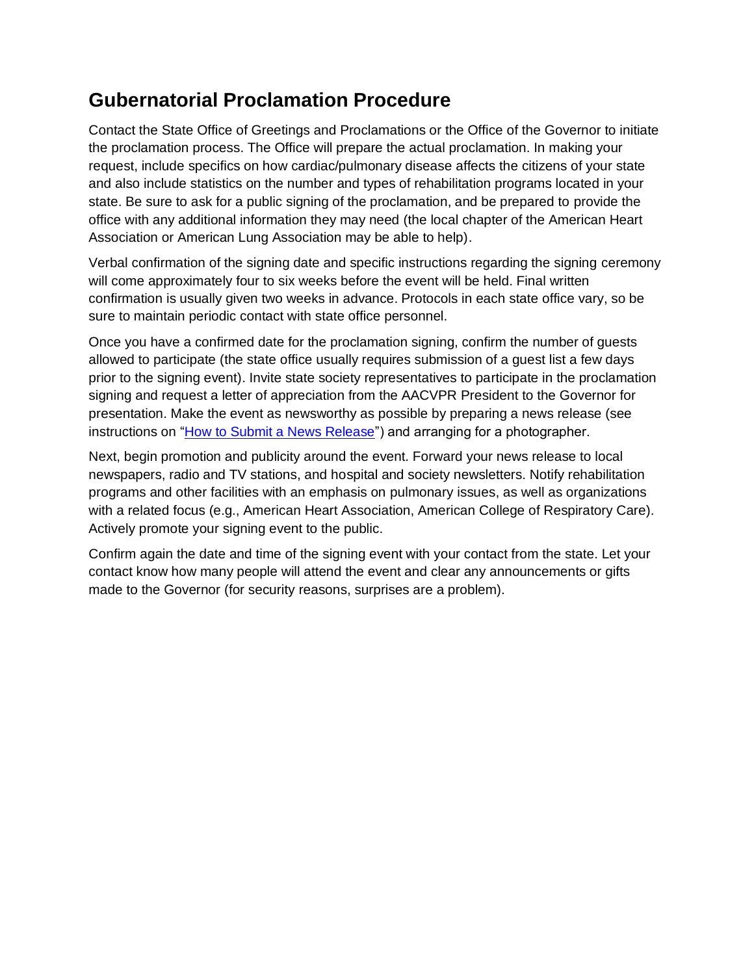## **Gubernatorial Proclamation Procedure**

Contact the State Office of Greetings and Proclamations or the Office of the Governor to initiate the proclamation process. The Office will prepare the actual proclamation. In making your request, include specifics on how cardiac/pulmonary disease affects the citizens of your state and also include statistics on the number and types of rehabilitation programs located in your state. Be sure to ask for a public signing of the proclamation, and be prepared to provide the office with any additional information they may need (the local chapter of the American Heart Association or American Lung Association may be able to help).

Verbal confirmation of the signing date and specific instructions regarding the signing ceremony will come approximately four to six weeks before the event will be held. Final written confirmation is usually given two weeks in advance. Protocols in each state office vary, so be sure to maintain periodic contact with state office personnel.

Once you have a confirmed date for the proclamation signing, confirm the number of guests allowed to participate (the state office usually requires submission of a guest list a few days prior to the signing event). Invite state society representatives to participate in the proclamation signing and request a letter of appreciation from the AACVPR President to the Governor for presentation. Make the event as newsworthy as possible by preparing a news release (see instructions on ["How to Submit a News Release"](https://www.aacvpr.org/LinkClick.aspx?fileticket=64Bqz5k4sBs%3d&portalid=0)) and arranging for a photographer.

Next, begin promotion and publicity around the event. Forward your news release to local newspapers, radio and TV stations, and hospital and society newsletters. Notify rehabilitation programs and other facilities with an emphasis on pulmonary issues, as well as organizations with a related focus (e.g., American Heart Association, American College of Respiratory Care). Actively promote your signing event to the public.

Confirm again the date and time of the signing event with your contact from the state. Let your contact know how many people will attend the event and clear any announcements or gifts made to the Governor (for security reasons, surprises are a problem).